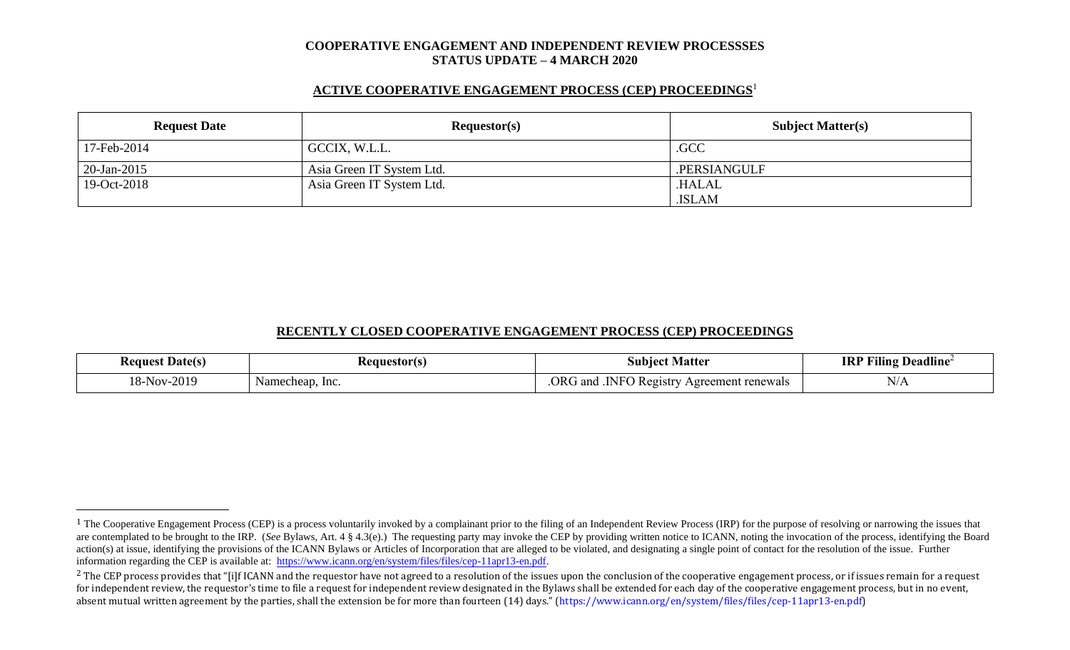#### **COOPERATIVE ENGAGEMENT AND INDEPENDENT REVIEW PROCESSSES STATUS UPDATE – 4 MARCH 2020**

### **ACTIVE COOPERATIVE ENGAGEMENT PROCESS (CEP) PROCEEDINGS** 1

| <b>Request Date</b> | Requestor(s)              | <b>Subject Matter(s)</b> |
|---------------------|---------------------------|--------------------------|
| 17-Feb-2014         | GCCIX, W.L.L.             | .GCC                     |
| $20$ -Jan-2015      | Asia Green IT System Ltd. | .PERSIANGULF             |
| 19-Oct-2018         | Asia Green IT System Ltd. | <b>HALAL</b>             |
|                     |                           | .ISLAM                   |

### **RECENTLY CLOSED COOPERATIVE ENGAGEMENT PROCESS (CEP) PROCEEDINGS**

| $\mathbf{r}$<br>. Date(s)<br>Keauest          | equestorts:     | Matter<br>Subiec                                    | Deadline <sup>2</sup><br>----<br>Alling :<br>-IKJ |
|-----------------------------------------------|-----------------|-----------------------------------------------------|---------------------------------------------------|
| $\mathbf{r}$<br>$-2019$<br>10.<br>NOV.<br>- ہ | Namecheap, Inc. | ЭR<br>- Registr<br>Agreement renewals<br>and<br>NFO | $1$ $\mathbf{M}$                                  |

<sup>&</sup>lt;sup>1</sup> The Cooperative Engagement Process (CEP) is a process voluntarily invoked by a complainant prior to the filing of an Independent Review Process (IRP) for the purpose of resolving or narrowing the issues that are contemplated to be brought to the IRP. (*See* Bylaws, Art. 4 § 4.3(e).) The requesting party may invoke the CEP by providing written notice to ICANN, noting the invocation of the process, identifying the Board action(s) at issue, identifying the provisions of the ICANN Bylaws or Articles of Incorporation that are alleged to be violated, and designating a single point of contact for the resolution of the issue. Further information regarding the CEP is available at: [https://www.icann.org/en/system/files/files/cep-11apr13-en.pdf.](https://www.icann.org/en/system/files/files/cep-11apr13-en.pdf)

 $2$  The CEP process provides that "[i]f ICANN and the requestor have not agreed to a resolution of the issues upon the conclusion of the cooperative engagement process, or if issues remain for a request for independent review, the requestor's time to file a request for independent review designated in the Bylaws shall be extended for each day of the cooperative engagement process, but in no event, absent mutual written agreement by the parties, shall the extension be for more than fourteen (14) days." (https://www.icann.org/en/system/files/files/cep-11apr13-en.pdf)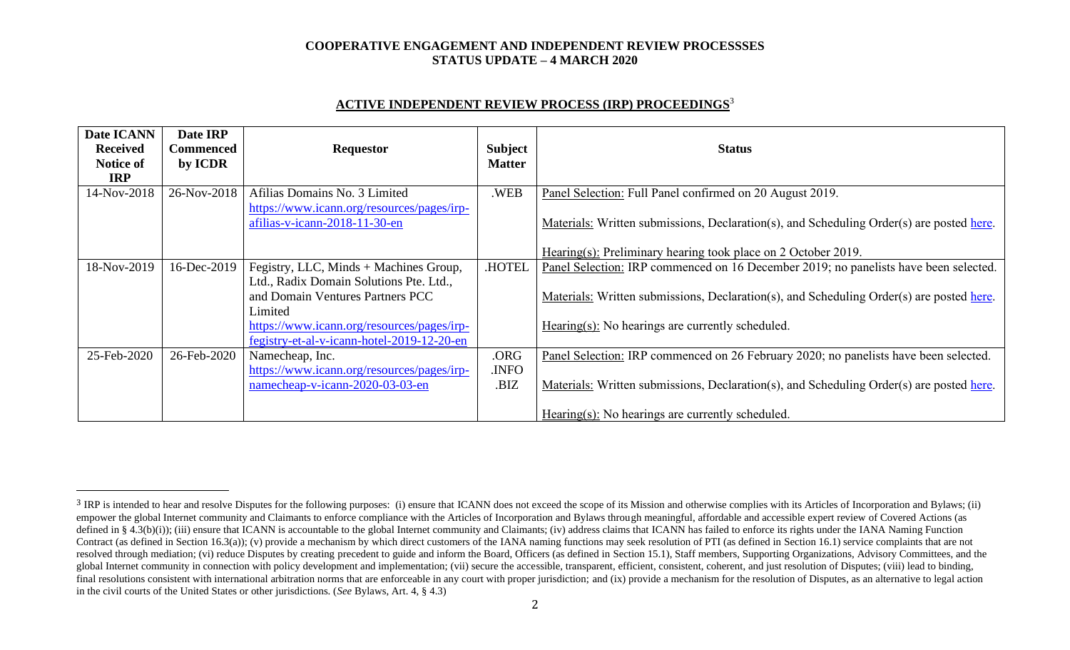### **COOPERATIVE ENGAGEMENT AND INDEPENDENT REVIEW PROCESSSES STATUS UPDATE – 4 MARCH 2020**

# **ACTIVE INDEPENDENT REVIEW PROCESS (IRP) PROCEEDINGS** 3

| Date ICANN<br><b>Received</b><br><b>Notice of</b><br><b>IRP</b> | Date IRP<br><b>Commenced</b><br>by ICDR | <b>Requestor</b>                                                                         | <b>Subject</b><br><b>Matter</b> | <b>Status</b>                                                                            |
|-----------------------------------------------------------------|-----------------------------------------|------------------------------------------------------------------------------------------|---------------------------------|------------------------------------------------------------------------------------------|
| 14-Nov-2018                                                     | 26-Nov-2018                             | Afilias Domains No. 3 Limited                                                            | .WEB                            | Panel Selection: Full Panel confirmed on 20 August 2019.                                 |
|                                                                 |                                         | https://www.icann.org/resources/pages/irp-<br>afilias-v-icann-2018-11-30-en              |                                 | Materials: Written submissions, Declaration(s), and Scheduling Order(s) are posted here. |
|                                                                 |                                         |                                                                                          |                                 | Hearing(s): Preliminary hearing took place on 2 October 2019.                            |
| 18-Nov-2019                                                     | 16-Dec-2019                             | Fegistry, LLC, Minds + Machines Group,                                                   | <b>HOTEL</b>                    | Panel Selection: IRP commenced on 16 December 2019; no panelists have been selected.     |
|                                                                 |                                         | Ltd., Radix Domain Solutions Pte. Ltd.,<br>and Domain Ventures Partners PCC<br>Limited   |                                 | Materials: Written submissions, Declaration(s), and Scheduling Order(s) are posted here. |
|                                                                 |                                         | https://www.icann.org/resources/pages/irp-<br>fegistry-et-al-v-icann-hotel-2019-12-20-en |                                 | $\frac{Hearing(s)}{S}$ . No hearings are currently scheduled.                            |
| 25-Feb-2020                                                     | 26-Feb-2020                             | Namecheap, Inc.                                                                          | .ORG                            | Panel Selection: IRP commenced on 26 February 2020; no panelists have been selected.     |
|                                                                 |                                         | https://www.icann.org/resources/pages/irp-<br>namecheap-v-icann-2020-03-03-en            | .INFO<br>.BIZ                   | Materials: Written submissions, Declaration(s), and Scheduling Order(s) are posted here. |
|                                                                 |                                         |                                                                                          |                                 | Hearing(s): No hearings are currently scheduled.                                         |

<sup>&</sup>lt;sup>3</sup> IRP is intended to hear and resolve Disputes for the following purposes: (i) ensure that ICANN does not exceed the scope of its Mission and otherwise complies with its Articles of Incorporation and Bylaws; (ii) empower the global Internet community and Claimants to enforce compliance with the Articles of Incorporation and Bylaws through meaningful, affordable and accessible expert review of Covered Actions (as defined in § 4.3(b)(i)); (iii) ensure that ICANN is accountable to the global Internet community and Claimants; (iv) address claims that ICANN has failed to enforce its rights under the IANA Naming Function Contract (as defined in Section 16.3(a)); (v) provide a mechanism by which direct customers of the IANA naming functions may seek resolution of PTI (as defined in Section 16.1) service complaints that are not resolved through mediation; (vi) reduce Disputes by creating precedent to guide and inform the Board, Officers (as defined in Section 15.1), Staff members, Supporting Organizations, Advisory Committees, and the global Internet community in connection with policy development and implementation; (vii) secure the accessible, transparent, efficient, consistent, coherent, and just resolution of Disputes; (viii) lead to binding, final resolutions consistent with international arbitration norms that are enforceable in any court with proper jurisdiction; and (ix) provide a mechanism for the resolution of Disputes, as an alternative to legal action in the civil courts of the United States or other jurisdictions. (*See* Bylaws, Art. 4, § 4.3)